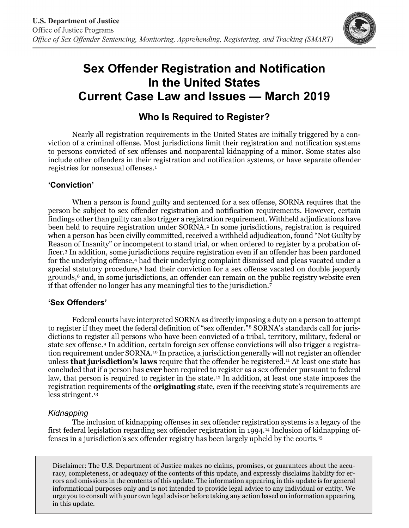

# **Sex Offender Registration and Notification In the United States Current Case Law and Issues — March 2019**

# **Who Is Required to Register?**

Nearly all registration requirements in the United States are initially triggered by a conviction of a criminal offense. Most jurisdictions limit their registration and notification systems to persons convicted of sex offenses and nonparental kidnapping of a minor. Some states also include other offenders in their registration and notification systems, or have separate offender registries for nonsexual offenses.[1](#page-2-0)

# **'Conviction'**

When a person is found guilty and sentenced for a sex offense, SORNA requires that the person be subject to sex offender registration and notification requirements. However, certain findings other than guilty can also trigger a registration requirement. Withheld adjudications have been held to require registration under SORNA.<sup>[2](#page-2-1)</sup> In some jurisdictions, registration is required when a person has been civilly committed, received a withheld adjudication, found "Not Guilty by Reason of Insanity" or incompetent to stand trial, or when ordered to register by a probation officer.[3](#page-2-2) In addition, some jurisdictions require registration even if an offender has been pardoned for the underlying offense,[4](#page-2-3) had their underlying complaint dismissed and pleas vacated under a special statutory procedure,<sup>[5](#page-2-4)</sup> had their conviction for a sex offense vacated on double jeopardy grounds,<sup>6</sup> and, in some jurisdictions, an offender can remain on the public registry website even if that offender no longer has any meaningful ties to the jurisdiction[.7](#page-2-6)

# **'Sex Offenders'**

Federal courts have interpreted SORNA as directly imposing a duty on a person to attempt to register if they meet the federal definition of "sex offender."[8](#page-2-7) SORNA's standards call for jurisdictions to register all persons who have been convicted of a tribal, territory, military, federal or state sex offense.[9](#page-2-8) In addition, certain foreign sex offense convictions will also trigger a registra-tion requirement under SORNA.<sup>[10](#page-2-9)</sup> In practice, a jurisdiction generally will not register an offender unless **that jurisdiction's laws** require that the offender be registered.[11](#page-2-10) At least one state has concluded that if a person has **ever** been required to register as a sex offender pursuant to federal law, that person is required to register in the state.<sup>[12](#page-2-11)</sup> In addition, at least one state imposes the registration requirements of the **originating** state, even if the receiving state's requirements are less stringent.[13](#page-2-12)

# *Kidnapping*

The inclusion of kidnapping offenses in sex offender registration systems is a legacy of the first federal legislation regarding sex offender registration in 1994.[14](#page-2-13) Inclusion of kidnapping offenses in a jurisdiction's sex offender registry has been largely upheld by the courts[.15](#page-3-0)

Disclaimer: The U.S. Department of Justice makes no claims, promises, or guarantees about the accuracy, completeness, or adequacy of the contents of this update, and expressly disclaims liability for errors and omissions in the contents of this update. The information appearing in this update is for general informational purposes only and is not intended to provide legal advice to any individual or entity. We urge you to consult with your own legal advisor before taking any action based on information appearing in this update.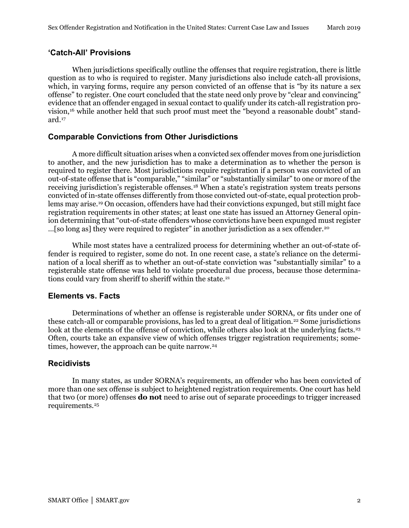#### **'Catch-All' Provisions**

When jurisdictions specifically outline the offenses that require registration, there is little question as to who is required to register. Many jurisdictions also include catch-all provisions, which, in varying forms, require any person convicted of an offense that is "by its nature a sex offense" to register. One court concluded that the state need only prove by "clear and convincing" evidence that an offender engaged in sexual contact to qualify under its catch-all registration provision,[16](#page-3-1) while another held that such proof must meet the "beyond a reasonable doubt" standard.[17](#page-3-2)

#### **Comparable Convictions from Other Jurisdictions**

A more difficult situation arises when a convicted sex offender moves from one jurisdiction to another, and the new jurisdiction has to make a determination as to whether the person is required to register there. Most jurisdictions require registration if a person was convicted of an out-of-state offense that is "comparable," "similar" or "substantially similar" to one or more of the receiving jurisdiction's registerable offenses.[18](#page-3-3) When a state's registration system treats persons convicted of in-state offenses differently from those convicted out-of-state, equal protection problems may arise.[19](#page-3-4) On occasion, offenders have had their convictions expunged, but still might face registration requirements in other states; at least one state has issued an Attorney General opinion determining that "out-of-state offenders whose convictions have been expunged must register …[so long as] they were required to register" in another jurisdiction as a sex offender.[20](#page-3-5)

While most states have a centralized process for determining whether an out-of-state offender is required to register, some do not. In one recent case, a state's reliance on the determination of a local sheriff as to whether an out-of-state conviction was "substantially similar" to a registerable state offense was held to violate procedural due process, because those determina-tions could vary from sheriff to sheriff within the state.<sup>[21](#page-3-6)</sup>

#### **Elements vs. Facts**

Determinations of whether an offense is registerable under SORNA, or fits under one of these catch-all or comparable provisions, has led to a great deal of litigation.[22](#page-3-7) Some jurisdictions look at the elements of the offense of conviction, while others also look at the underlying facts.<sup>[23](#page-3-8)</sup> Often, courts take an expansive view of which offenses trigger registration requirements; some-times, however, the approach can be quite narrow.<sup>[24](#page-3-9)</sup>

#### **Recidivists**

In many states, as under SORNA's requirements, an offender who has been convicted of more than one sex offense is subject to heightened registration requirements. One court has held that two (or more) offenses **do not** need to arise out of separate proceedings to trigger increased requirements.[25](#page-3-10)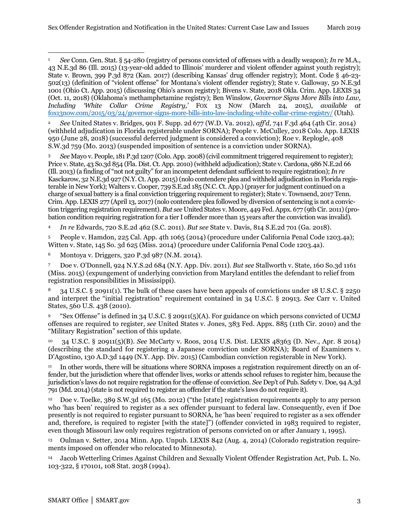<span id="page-2-0"></span><sup>1</sup> *See* Conn. Gen. Stat. § 54-280 (registry of persons convicted of offenses with a deadly weapon); *In re* M.A., 43 N.E.3d 86 (Ill. 2015) (13-year-old added to Illinois' murderer and violent offender against youth registry); State v. Brown, 399 P.3d 872 (Kan. 2017) (describing Kansas' drug offender registry); Mont. Code § 46-23- 502(13) (definition of "violent offense" for Montana's violent offender registry); State v. Galloway, 50 N.E.3d 1001 (Ohio Ct. App. 2015) (discussing Ohio's arson registry); Bivens v. State, 2018 Okla. Crim. App. LEXIS 34 (Oct. 11, 2018) (Oklahoma's methamphetamine registry); Ben Winslow, *Governor Signs More Bills into Law, Including 'White Collar Crime Registry,'* FOX 13 NOW (March 24, 2015), *available at*  [fox13now.com/2015/03/24/governor-signs-more-bills-into-law-including-white-collar-crime-registry/](http://fox13now.com/2015/03/24/governor-signs-more-bills-into-law-including-white-collar-crime-registry/) (Utah).  $\overline{a}$ 

<span id="page-2-1"></span><sup>2</sup> *See* United States v. Bridges, 901 F. Supp. 2d 677 (W.D. Va. 2012), *aff'd,* 741 F.3d 464 (4th Cir. 2014) (withheld adjudication in Florida registerable under SORNA); People v. McCulley, 2018 Colo. App. LEXIS 950 (June 28, 2018) (successful deferred judgment is considered a conviction); Roe v. Replogle, 408 S.W.3d 759 (Mo. 2013) (suspended imposition of sentence is a conviction under SORNA).

<span id="page-2-2"></span><sup>3</sup> *See* Mayo v. People, 181 P.3d 1207 (Colo. App. 2008) (civil commitment triggered requirement to register); Price v. State, 43 So.3d 854 (Fla. Dist. Ct. App. 2010) (withheld adjudication); State v. Cardona, 986 N.E.2d 66 (Ill. 2013) (a finding of "not not guilty" for an incompetent defendant sufficient to require registration); *In re* Kasckarow, 32 N.E.3d 927 (N.Y. Ct. App. 2015) (nolo contendere plea and withheld adjudication in Florida registerable in New York); Walters v. Cooper, 739 S.E.2d 185 (N.C. Ct. App.) (prayer for judgment continued on a charge of sexual battery is a final conviction triggering requirement to register); State v. Townsend, 2017 Tenn. Crim. App. LEXIS 277 (April 13, 2017) (nolo contendere plea followed by diversion of sentencing is not a conviction triggering registration requirement). *But see* United States v. Moore, 449 Fed. Appx. 677 (9th Cir. 2011) (probation condition requiring registration for a tier I offender more than 15 years after the conviction was invalid).

<span id="page-2-3"></span><sup>4</sup> *In re* Edwards, 720 S.E.2d 462 (S.C. 2011). *But see* State v. Davis, 814 S.E.2d 701 (Ga. 2018).

<span id="page-2-4"></span><sup>5</sup> People v. Hamdon, 225 Cal. App. 4th 1065 (2014) (procedure under California Penal Code 1203.4a); Witten v. State, 145 So. 3d 625 (Miss. 2014) (procedure under California Penal Code 1203.4a).

<span id="page-2-5"></span><sup>6</sup> Montoya v. Driggers, 320 P.3d 987 (N.M. 2014).

<span id="page-2-6"></span><sup>7</sup> Doe v. O'Donnell, 924 N.Y.S.2d 684 (N.Y. App. Div. 2011). *But see* Stallworth v. State, 160 So.3d 1161 (Miss. 2015) (expungement of underlying conviction from Maryland entitles the defendant to relief from registration responsibilities in Mississippi).

<span id="page-2-7"></span><sup>8</sup> 34 U.S.C. § 20911(1). The bulk of these cases have been appeals of convictions under 18 U.S.C. § 2250 and interpret the "initial registration" requirement contained in 34 U.S.C. § 20913. *See* Carr v. United States, 560 U.S. 438 (2010).

<span id="page-2-8"></span><sup>9</sup> "Sex Offense" is defined in 34 U.S.C. § 20911(5)(A). For guidance on which persons convicted of UCMJ offenses are required to register, *see* United States v. Jones, 383 Fed. Appx. 885 (11th Cir. 2010) and the "Military Registration" section of this update.

<span id="page-2-9"></span><sup>10</sup> 34 U.S.C. § 20911(5)(B). *See* McCarty v. Roos, 2014 U.S. Dist. LEXIS 48363 (D. Nev., Apr. 8 2014) (describing the standard for registering a Japanese conviction under SORNA); Board of Examiners v. D'Agostino, 130 A.D.3d 1449 (N.Y. App. Div. 2015) (Cambodian conviction registerable in New York).

<span id="page-2-10"></span><sup>11</sup> In other words, there will be situations where SORNA imposes a registration requirement directly on an offender, but the jurisdiction where that offender lives, works or attends school refuses to register him, because the jurisdiction's laws do not require registration for the offense of conviction. *See* Dep't of Pub. Safety v. Doe, 94 A.3d 791 (Md. 2014) (state is not required to register an offender if the state's laws do not require it).

<span id="page-2-11"></span><sup>12</sup> Doe v. Toelke, 389 S.W.3d 165 (Mo. 2012) ("the [state] registration requirements apply to any person who 'has been' required to register as a sex offender pursuant to federal law. Consequently, even if Doe presently is not required to register pursuant to SORNA, he 'has been' required to register as a sex offender and, therefore, is required to register [with the state]") (offender convicted in 1983 required to register, even though Missouri law only requires registration of persons convicted on or after January 1, 1995).

<span id="page-2-12"></span><sup>13</sup> Oulman v. Setter, 2014 Minn. App. Unpub. LEXIS 842 (Aug. 4, 2014) (Colorado registration requirements imposed on offender who relocated to Minnesota).

<span id="page-2-13"></span><sup>14</sup> Jacob Wetterling Crimes Against Children and Sexually Violent Offender Registration Act, Pub. L. No. 103-322, § 170101, 108 Stat. 2038 (1994).